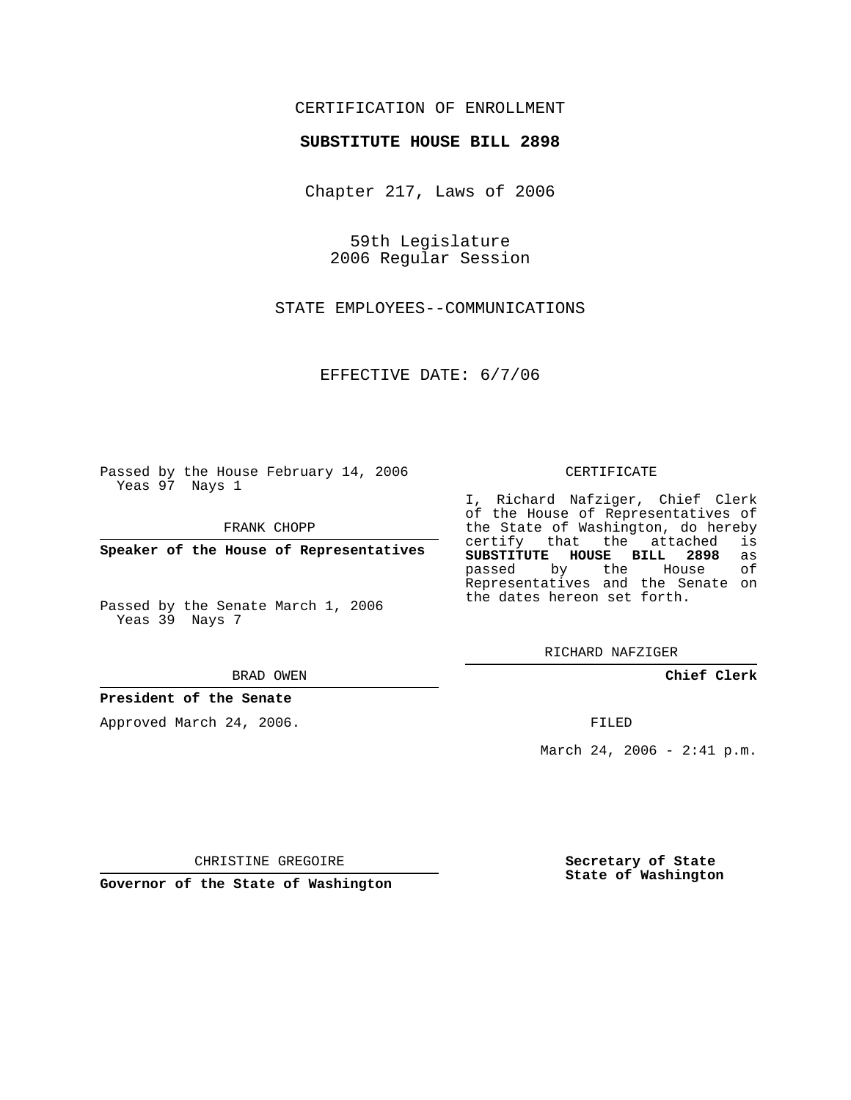# CERTIFICATION OF ENROLLMENT

### **SUBSTITUTE HOUSE BILL 2898**

Chapter 217, Laws of 2006

59th Legislature 2006 Regular Session

STATE EMPLOYEES--COMMUNICATIONS

EFFECTIVE DATE: 6/7/06

Passed by the House February 14, 2006 Yeas 97 Nays 1

FRANK CHOPP

**Speaker of the House of Representatives**

Passed by the Senate March 1, 2006 Yeas 39 Nays 7

#### BRAD OWEN

### **President of the Senate**

Approved March 24, 2006.

### CERTIFICATE

I, Richard Nafziger, Chief Clerk of the House of Representatives of the State of Washington, do hereby<br>certify that the attached is certify that the attached **SUBSTITUTE HOUSE BILL 2898** as passed by the House Representatives and the Senate on the dates hereon set forth.

RICHARD NAFZIGER

**Chief Clerk**

FILED

March 24, 2006 - 2:41 p.m.

CHRISTINE GREGOIRE

**Governor of the State of Washington**

**Secretary of State State of Washington**